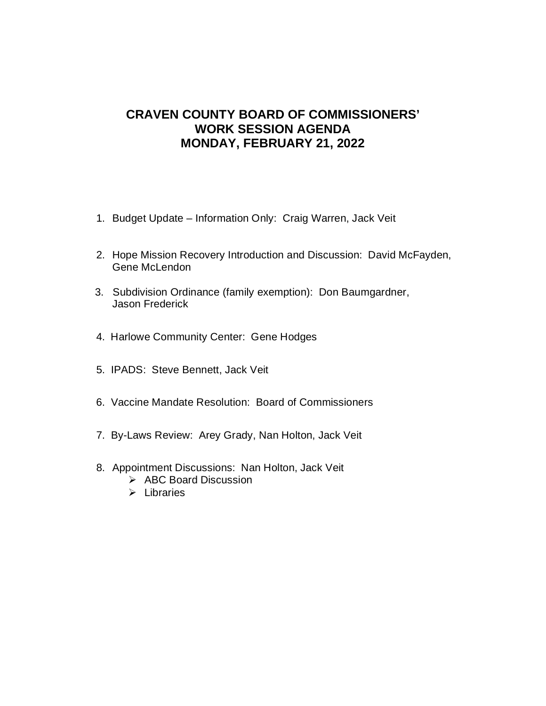# **CRAVEN COUNTY BOARD OF COMMISSIONERS' WORK SESSION AGENDA MONDAY, FEBRUARY 21, 2022**

- 1. Budget Update Information Only: Craig Warren, Jack Veit
- 2. Hope Mission Recovery Introduction and Discussion: David McFayden, Gene McLendon
- 3. Subdivision Ordinance (family exemption): Don Baumgardner, Jason Frederick
- 4. Harlowe Community Center: Gene Hodges
- 5. IPADS: Steve Bennett, Jack Veit
- 6. Vaccine Mandate Resolution: Board of Commissioners
- 7. By-Laws Review: Arey Grady, Nan Holton, Jack Veit
- 8. Appointment Discussions: Nan Holton, Jack Veit
	- $\triangleright$  ABC Board Discussion
	- $\triangleright$  Libraries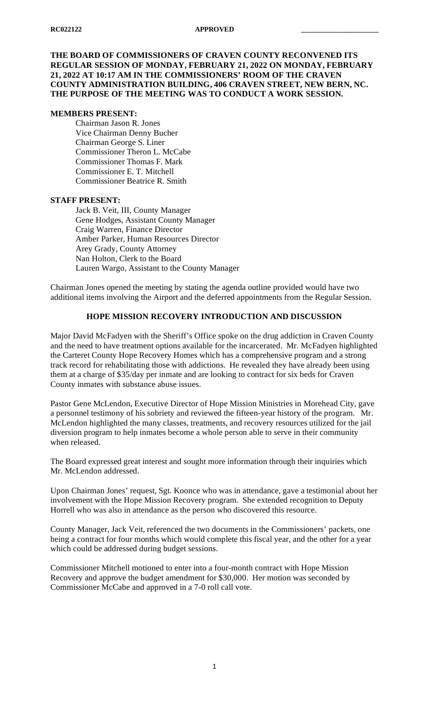## **THE BOARD OF COMMISSIONERS OF CRAVEN COUNTY RECONVENED ITS REGULAR SESSION OF MONDAY, FEBRUARY 21, 2022 ON MONDAY, FEBRUARY 21, 2022 AT 10:17 AM IN THE COMMISSIONERS' ROOM OF THE CRAVEN COUNTY ADMINISTRATION BUILDING, 406 CRAVEN STREET, NEW BERN, NC. THE PURPOSE OF THE MEETING WAS TO CONDUCT A WORK SESSION.**

#### **MEMBERS PRESENT:**

Chairman Jason R. Jones Vice Chairman Denny Bucher Chairman George S. Liner Commissioner Theron L. McCabe Commissioner Thomas F. Mark Commissioner E. T. Mitchell Commissioner Beatrice R. Smith

#### **STAFF PRESENT:**

Jack B. Veit, III, County Manager Gene Hodges, Assistant County Manager Craig Warren, Finance Director Amber Parker, Human Resources Director Arey Grady, County Attorney Nan Holton, Clerk to the Board Lauren Wargo, Assistant to the County Manager

Chairman Jones opened the meeting by stating the agenda outline provided would have two additional items involving the Airport and the deferred appointments from the Regular Session.

## **HOPE MISSION RECOVERY INTRODUCTION AND DISCUSSION**

Major David McFadyen with the Sheriff's Office spoke on the drug addiction in Craven County and the need to have treatment options available for the incarcerated. Mr. McFadyen highlighted the Carteret County Hope Recovery Homes which has a comprehensive program and a strong track record for rehabilitating those with addictions. He revealed they have already been using them at a charge of \$35/day per inmate and are looking to contract for six beds for Craven County inmates with substance abuse issues.

Pastor Gene McLendon, Executive Director of Hope Mission Ministries in Morehead City, gave a personnel testimony of his sobriety and reviewed the fifteen-year history of the program. Mr. McLendon highlighted the many classes, treatments, and recovery resources utilized for the jail diversion program to help inmates become a whole person able to serve in their community when released.

The Board expressed great interest and sought more information through their inquiries which Mr. McLendon addressed.

Upon Chairman Jones' request, Sgt. Koonce who was in attendance, gave a testimonial about her involvement with the Hope Mission Recovery program. She extended recognition to Deputy Horrell who was also in attendance as the person who discovered this resource.

County Manager, Jack Veit, referenced the two documents in the Commissioners' packets, one being a contract for four months which would complete this fiscal year, and the other for a year which could be addressed during budget sessions.

Commissioner Mitchell motioned to enter into a four-month contract with Hope Mission Recovery and approve the budget amendment for \$30,000. Her motion was seconded by Commissioner McCabe and approved in a 7-0 roll call vote.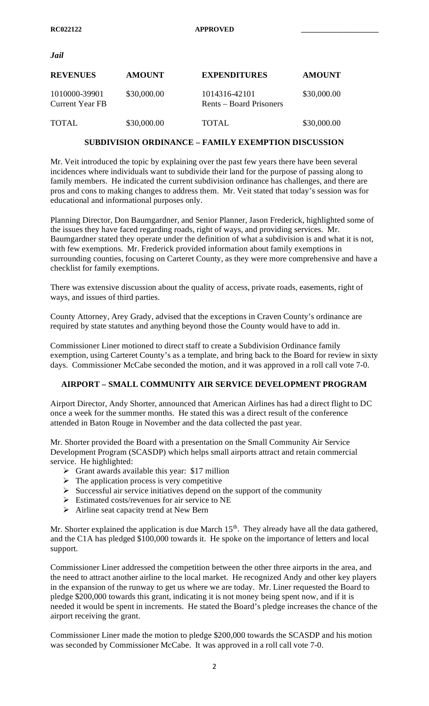*Jail*

| <b>REVENUES</b>                         | <b>AMOUNT</b> | <b>EXPENDITURES</b>                      | <b>AMOUNT</b> |
|-----------------------------------------|---------------|------------------------------------------|---------------|
| 1010000-39901<br><b>Current Year FB</b> | \$30,000.00   | 1014316-42101<br>Rents – Board Prisoners | \$30,000.00   |
| <b>TOTAL</b>                            | \$30,000.00   | TOTAL                                    | \$30,000.00   |

## **SUBDIVISION ORDINANCE – FAMILY EXEMPTION DISCUSSION**

Mr. Veit introduced the topic by explaining over the past few years there have been several incidences where individuals want to subdivide their land for the purpose of passing along to family members. He indicated the current subdivision ordinance has challenges, and there are pros and cons to making changes to address them. Mr. Veit stated that today's session was for educational and informational purposes only.

Planning Director, Don Baumgardner, and Senior Planner, Jason Frederick, highlighted some of the issues they have faced regarding roads, right of ways, and providing services. Mr. Baumgardner stated they operate under the definition of what a subdivision is and what it is not, with few exemptions. Mr. Frederick provided information about family exemptions in surrounding counties, focusing on Carteret County, as they were more comprehensive and have a checklist for family exemptions.

There was extensive discussion about the quality of access, private roads, easements, right of ways, and issues of third parties.

County Attorney, Arey Grady, advised that the exceptions in Craven County's ordinance are required by state statutes and anything beyond those the County would have to add in.

Commissioner Liner motioned to direct staff to create a Subdivision Ordinance family exemption, using Carteret County's as a template, and bring back to the Board for review in sixty days. Commissioner McCabe seconded the motion, and it was approved in a roll call vote 7-0.

## **AIRPORT – SMALL COMMUNITY AIR SERVICE DEVELOPMENT PROGRAM**

Airport Director, Andy Shorter, announced that American Airlines has had a direct flight to DC once a week for the summer months. He stated this was a direct result of the conference attended in Baton Rouge in November and the data collected the past year.

Mr. Shorter provided the Board with a presentation on the Small Community Air Service Development Program (SCASDP) which helps small airports attract and retain commercial service. He highlighted:

- $\triangleright$  Grant awards available this year: \$17 million
- $\triangleright$  The application process is very competitive
- $\triangleright$  Successful air service initiatives depend on the support of the community
- $\triangleright$  Estimated costs/revenues for air service to NE
- $\triangleright$  Airline seat capacity trend at New Bern

Mr. Shorter explained the application is due March  $15<sup>th</sup>$ . They already have all the data gathered, and the C1A has pledged \$100,000 towards it. He spoke on the importance of letters and local support.

Commissioner Liner addressed the competition between the other three airports in the area, and the need to attract another airline to the local market. He recognized Andy and other key players in the expansion of the runway to get us where we are today. Mr. Liner requested the Board to pledge \$200,000 towards this grant, indicating it is not money being spent now, and if it is needed it would be spent in increments. He stated the Board's pledge increases the chance of the airport receiving the grant.

Commissioner Liner made the motion to pledge \$200,000 towards the SCASDP and his motion was seconded by Commissioner McCabe. It was approved in a roll call vote 7-0.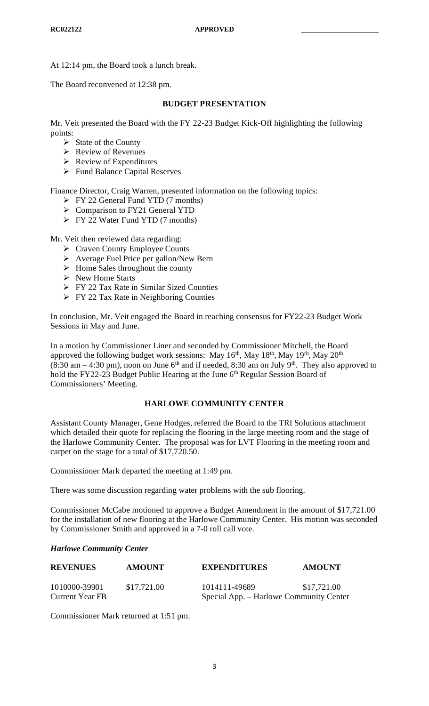At 12:14 pm, the Board took a lunch break.

The Board reconvened at 12:38 pm.

## **BUDGET PRESENTATION**

Mr. Veit presented the Board with the FY 22-23 Budget Kick-Off highlighting the following points:

- $\triangleright$  State of the County
- $\triangleright$  Review of Revenues
- $\triangleright$  Review of Expenditures
- $\triangleright$  Fund Balance Capital Reserves

Finance Director, Craig Warren, presented information on the following topics:

- $\triangleright$  FY 22 General Fund YTD (7 months)
- ▶ Comparison to FY21 General YTD
- $\triangleright$  FY 22 Water Fund YTD (7 months)

Mr. Veit then reviewed data regarding:

- $\triangleright$  Craven County Employee Counts
- Average Fuel Price per gallon/New Bern
- $\triangleright$  Home Sales throughout the county
- $\triangleright$  New Home Starts
- **FY 22 Tax Rate in Similar Sized Counties**
- **FY 22 Tax Rate in Neighboring Counties**

In conclusion, Mr. Veit engaged the Board in reaching consensus for FY22-23 Budget Work Sessions in May and June.

In a motion by Commissioner Liner and seconded by Commissioner Mitchell, the Board approved the following budget work sessions: May  $16<sup>th</sup>$ , May  $18<sup>th</sup>$ , May  $19<sup>th</sup>$ , May  $20<sup>th</sup>$  $(8:30 \text{ am} - 4:30 \text{ pm})$ , noon on June 6<sup>th</sup> and if needed, 8:30 am on July 9<sup>th</sup>. They also approved to hold the FY22-23 Budget Public Hearing at the June 6<sup>th</sup> Regular Session Board of Commissioners' Meeting.

## **HARLOWE COMMUNITY CENTER**

Assistant County Manager, Gene Hodges, referred the Board to the TRI Solutions attachment which detailed their quote for replacing the flooring in the large meeting room and the stage of the Harlowe Community Center. The proposal was for LVT Flooring in the meeting room and carpet on the stage for a total of \$17,720.50.

Commissioner Mark departed the meeting at 1:49 pm.

There was some discussion regarding water problems with the sub flooring.

Commissioner McCabe motioned to approve a Budget Amendment in the amount of \$17,721.00 for the installation of new flooring at the Harlowe Community Center. His motion was seconded by Commissioner Smith and approved in a 7-0 roll call vote.

## *Harlowe Community Center*

| <b>REVENUES</b>        | <b>AMOUNT</b> | <b>EXPENDITURES</b>                     | <b>AMOUNT</b> |  |
|------------------------|---------------|-----------------------------------------|---------------|--|
| 1010000-39901          | \$17,721.00   | 1014111-49689                           | \$17,721.00   |  |
| <b>Current Year FB</b> |               | Special App. – Harlowe Community Center |               |  |

Commissioner Mark returned at 1:51 pm.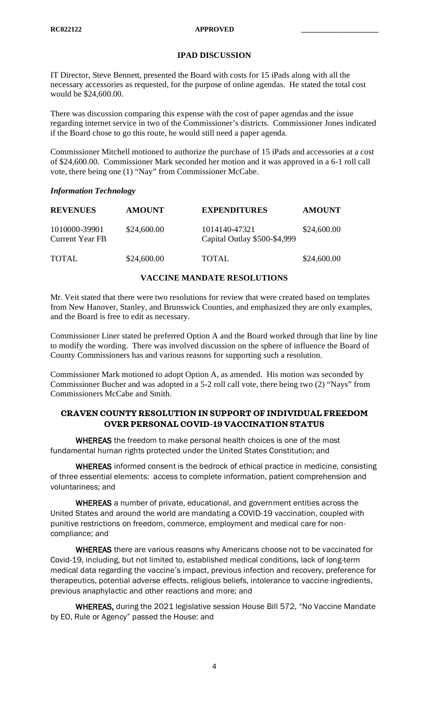## **IPAD DISCUSSION**

IT Director, Steve Bennett, presented the Board with costs for 15 iPads along with all the necessary accessories as requested, for the purpose of online agendas. He stated the total cost would be \$24,600.00.

There was discussion comparing this expense with the cost of paper agendas and the issue regarding internet service in two of the Commissioner's districts. Commissioner Jones indicated if the Board chose to go this route, he would still need a paper agenda.

Commissioner Mitchell motioned to authorize the purchase of 15 iPads and accessories at a cost of \$24,600.00. Commissioner Mark seconded her motion and it was approved in a 6-1 roll call vote, there being one (1) "Nay" from Commissioner McCabe.

#### *Information Technology*

| <b>REVENUES</b>                         | <b>AMOUNT</b> | <b>EXPENDITURES</b>                           | <b>AMOUNT</b> |
|-----------------------------------------|---------------|-----------------------------------------------|---------------|
| 1010000-39901<br><b>Current Year FB</b> | \$24,600.00   | 1014140-47321<br>Capital Outlay \$500-\$4,999 | \$24,600.00   |
| TOTAL                                   | \$24,600.00   | TOTAL                                         | \$24,600.00   |

#### **VACCINE MANDATE RESOLUTIONS**

Mr. Veit stated that there were two resolutions for review that were created based on templates from New Hanover, Stanley, and Brunswick Counties, and emphasized they are only examples, and the Board is free to edit as necessary.

Commissioner Liner stated he preferred Option A and the Board worked through that line by line to modify the wording. There was involved discussion on the sphere of influence the Board of County Commissioners has and various reasons for supporting such a resolution.

Commissioner Mark motioned to adopt Option A, as amended. His motion was seconded by Commissioner Bucher and was adopted in a 5-2 roll call vote, there being two (2) "Nays" from Commissioners McCabe and Smith.

## **CRAVEN COUNTY RESOLUTION IN SUPPORT OF INDIVIDUAL FREEDOM OVER PERSONAL COVID-19 VACCINATION STATUS**

WHEREAS the freedom to make personal health choices is one of the most fundamental human rights protected under the United States Constitution; and

WHEREAS informed consent is the bedrock of ethical practice in medicine, consisting of three essential elements: access to complete information, patient comprehension and voluntariness; and

WHEREAS a number of private, educational, and government entities across the United States and around the world are mandating a COVID-19 vaccination, coupled with punitive restrictions on freedom, commerce, employment and medical care for noncompliance; and

WHEREAS there are various reasons why Americans choose not to be vaccinated for Covid-19, including, but not limited to, established medical conditions, lack of long-term medical data regarding the vaccine's impact, previous infection and recovery, preference for therapeutics, potential adverse effects, religious beliefs, intolerance to vaccine ingredients, previous anaphylactic and other reactions and more; and

WHEREAS, during the 2021 legislative session House Bill 572, "No Vaccine Mandate by EO, Rule or Agency" passed the House: and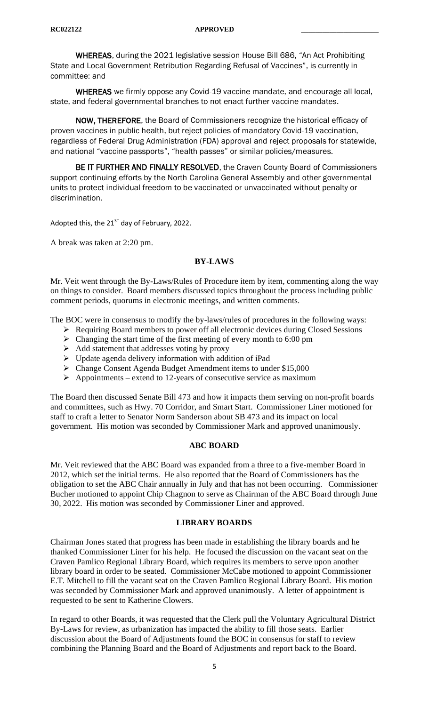WHEREAS, during the 2021 legislative session House Bill 686, "An Act Prohibiting State and Local Government Retribution Regarding Refusal of Vaccines", is currently in committee: and

WHEREAS we firmly oppose any Covid-19 vaccine mandate, and encourage all local, state, and federal governmental branches to not enact further vaccine mandates.

NOW, THEREFORE, the Board of Commissioners recognize the historical efficacy of proven vaccines in public health, but reject policies of mandatory Covid-19 vaccination, regardless of Federal Drug Administration (FDA) approval and reject proposals for statewide, and national "vaccine passports", "health passes" or similar policies/measures.

BE IT FURTHER AND FINALLY RESOLVED, the Craven County Board of Commissioners support continuing efforts by the North Carolina General Assembly and other governmental units to protect individual freedom to be vaccinated or unvaccinated without penalty or discrimination.

Adopted this, the  $21^{57}$  day of February, 2022.

A break was taken at 2:20 pm.

#### **BY-LAWS**

Mr. Veit went through the By-Laws/Rules of Procedure item by item, commenting along the way on things to consider. Board members discussed topics throughout the process including public comment periods, quorums in electronic meetings, and written comments.

The BOC were in consensus to modify the by-laws/rules of procedures in the following ways:

- Requiring Board members to power off all electronic devices during Closed Sessions
- $\triangleright$  Changing the start time of the first meeting of every month to 6:00 pm
- $\triangleright$  Add statement that addresses voting by proxy
- $\triangleright$  Update agenda delivery information with addition of iPad
- Change Consent Agenda Budget Amendment items to under \$15,000
- $\triangleright$  Appointments extend to 12-years of consecutive service as maximum

The Board then discussed Senate Bill 473 and how it impacts them serving on non-profit boards and committees, such as Hwy. 70 Corridor, and Smart Start. Commissioner Liner motioned for staff to craft a letter to Senator Norm Sanderson about SB 473 and its impact on local government. His motion was seconded by Commissioner Mark and approved unanimously.

#### **ABC BOARD**

Mr. Veit reviewed that the ABC Board was expanded from a three to a five-member Board in 2012, which set the initial terms. He also reported that the Board of Commissioners has the obligation to set the ABC Chair annually in July and that has not been occurring. Commissioner Bucher motioned to appoint Chip Chagnon to serve as Chairman of the ABC Board through June 30, 2022. His motion was seconded by Commissioner Liner and approved.

#### **LIBRARY BOARDS**

Chairman Jones stated that progress has been made in establishing the library boards and he thanked Commissioner Liner for his help. He focused the discussion on the vacant seat on the Craven Pamlico Regional Library Board, which requires its members to serve upon another library board in order to be seated. Commissioner McCabe motioned to appoint Commissioner E.T. Mitchell to fill the vacant seat on the Craven Pamlico Regional Library Board. His motion was seconded by Commissioner Mark and approved unanimously. A letter of appointment is requested to be sent to Katherine Clowers.

In regard to other Boards, it was requested that the Clerk pull the Voluntary Agricultural District By-Laws for review, as urbanization has impacted the ability to fill those seats. Earlier discussion about the Board of Adjustments found the BOC in consensus for staff to review combining the Planning Board and the Board of Adjustments and report back to the Board.